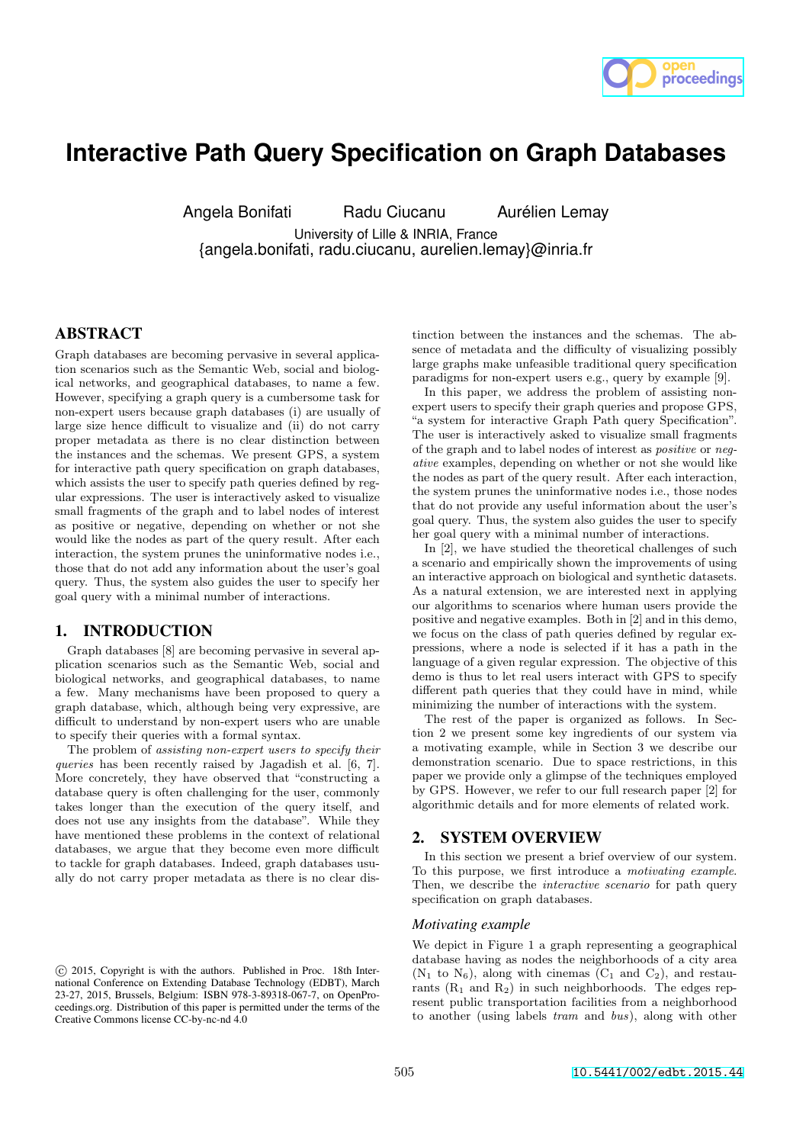

# **Interactive Path Query Specification on Graph Databases**

Angela Bonifati Radu Ciucanu Aurélien Lemay

University of Lille & INRIA, France {angela.bonifati, radu.ciucanu, aurelien.lemay}@inria.fr

# ABSTRACT

Graph databases are becoming pervasive in several application scenarios such as the Semantic Web, social and biological networks, and geographical databases, to name a few. However, specifying a graph query is a cumbersome task for non-expert users because graph databases (i) are usually of large size hence difficult to visualize and (ii) do not carry proper metadata as there is no clear distinction between the instances and the schemas. We present GPS, a system for interactive path query specification on graph databases, which assists the user to specify path queries defined by regular expressions. The user is interactively asked to visualize small fragments of the graph and to label nodes of interest as positive or negative, depending on whether or not she would like the nodes as part of the query result. After each interaction, the system prunes the uninformative nodes i.e., those that do not add any information about the user's goal query. Thus, the system also guides the user to specify her goal query with a minimal number of interactions.

## 1. INTRODUCTION

Graph databases [8] are becoming pervasive in several application scenarios such as the Semantic Web, social and biological networks, and geographical databases, to name a few. Many mechanisms have been proposed to query a graph database, which, although being very expressive, are difficult to understand by non-expert users who are unable to specify their queries with a formal syntax.

The problem of assisting non-expert users to specify their queries has been recently raised by Jagadish et al. [6, 7]. More concretely, they have observed that "constructing a database query is often challenging for the user, commonly takes longer than the execution of the query itself, and does not use any insights from the database". While they have mentioned these problems in the context of relational databases, we argue that they become even more difficult to tackle for graph databases. Indeed, graph databases usually do not carry proper metadata as there is no clear dis-

tinction between the instances and the schemas. The absence of metadata and the difficulty of visualizing possibly large graphs make unfeasible traditional query specification paradigms for non-expert users e.g., query by example [9].

In this paper, we address the problem of assisting nonexpert users to specify their graph queries and propose GPS, "a system for interactive Graph Path query Specification". The user is interactively asked to visualize small fragments of the graph and to label nodes of interest as positive or negative examples, depending on whether or not she would like the nodes as part of the query result. After each interaction, the system prunes the uninformative nodes i.e., those nodes that do not provide any useful information about the user's goal query. Thus, the system also guides the user to specify her goal query with a minimal number of interactions.

In [2], we have studied the theoretical challenges of such a scenario and empirically shown the improvements of using an interactive approach on biological and synthetic datasets. As a natural extension, we are interested next in applying our algorithms to scenarios where human users provide the positive and negative examples. Both in [2] and in this demo, we focus on the class of path queries defined by regular expressions, where a node is selected if it has a path in the language of a given regular expression. The objective of this demo is thus to let real users interact with GPS to specify different path queries that they could have in mind, while minimizing the number of interactions with the system.

The rest of the paper is organized as follows. In Section 2 we present some key ingredients of our system via a motivating example, while in Section 3 we describe our demonstration scenario. Due to space restrictions, in this paper we provide only a glimpse of the techniques employed by GPS. However, we refer to our full research paper [2] for algorithmic details and for more elements of related work.

# 2. SYSTEM OVERVIEW

In this section we present a brief overview of our system. To this purpose, we first introduce a motivating example. Then, we describe the *interactive scenario* for path query specification on graph databases.

#### *Motivating example*

We depict in Figure 1 a graph representing a geographical database having as nodes the neighborhoods of a city area  $(N_1$  to  $N_6)$ , along with cinemas  $(C_1$  and  $C_2)$ , and restaurants  $(R_1 \text{ and } R_2)$  in such neighborhoods. The edges represent public transportation facilities from a neighborhood to another (using labels tram and bus), along with other

c 2015, Copyright is with the authors. Published in Proc. 18th International Conference on Extending Database Technology (EDBT), March 23-27, 2015, Brussels, Belgium: ISBN 978-3-89318-067-7, on OpenProceedings.org. Distribution of this paper is permitted under the terms of the Creative Commons license CC-by-nc-nd 4.0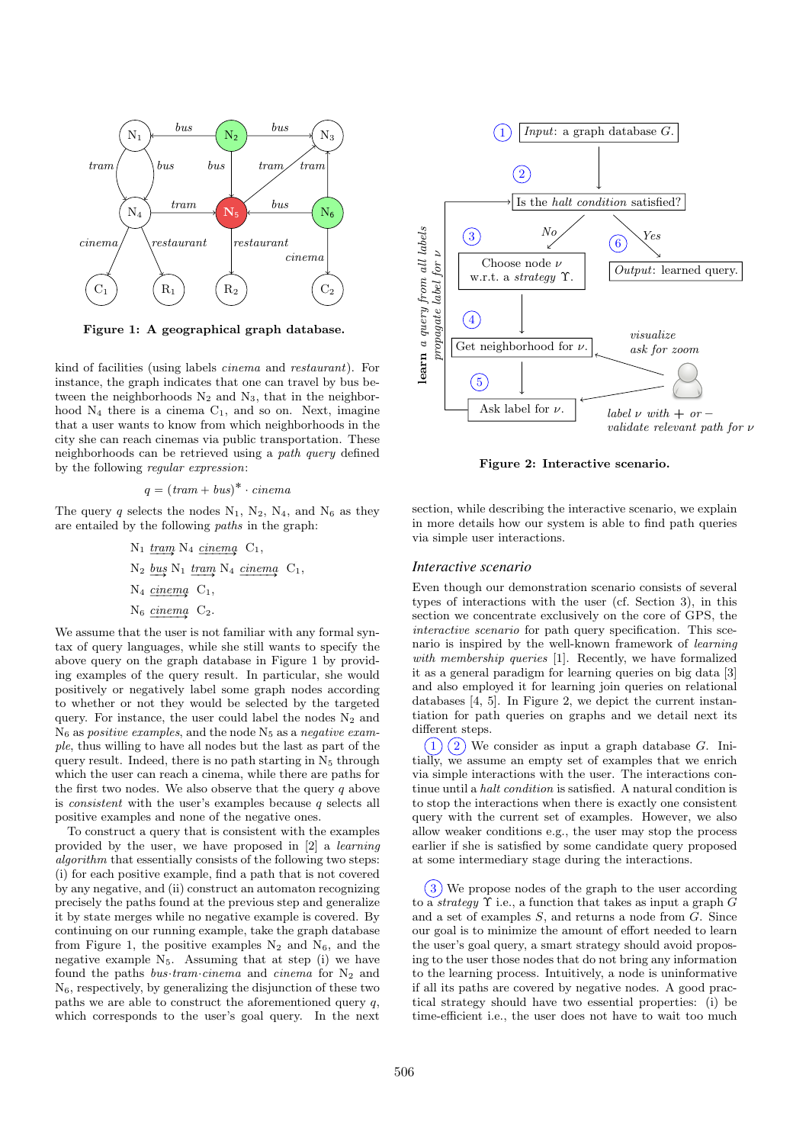

Figure 1: A geographical graph database.

kind of facilities (using labels cinema and restaurant). For instance, the graph indicates that one can travel by bus between the neighborhoods  $N_2$  and  $N_3$ , that in the neighborhood  $N_4$  there is a cinema  $C_1$ , and so on. Next, imagine that a user wants to know from which neighborhoods in the city she can reach cinemas via public transportation. These neighborhoods can be retrieved using a path query defined by the following regular expression:

$$
q = (tram + bus)^* \cdot cinema
$$

The query q selects the nodes  $N_1$ ,  $N_2$ ,  $N_4$ , and  $N_6$  as they are entailed by the following paths in the graph:

<sup>N</sup><sup>1</sup> tram ÝÝÑ <sup>N</sup><sup>4</sup> cinema ÝÝÝÝÑ <sup>C</sup>1, <sup>N</sup><sup>2</sup> bus ÝÑ <sup>N</sup><sup>1</sup> tram ÝÝÑ <sup>N</sup><sup>4</sup> cinema ÝÝÝÝÑ <sup>C</sup>1, <sup>N</sup><sup>4</sup> cinema ÝÝÝÝÑ <sup>C</sup>1, <sup>N</sup><sup>6</sup> cinema ÝÝÝÝÑ <sup>C</sup>2.

We assume that the user is not familiar with any formal syntax of query languages, while she still wants to specify the above query on the graph database in Figure 1 by providing examples of the query result. In particular, she would positively or negatively label some graph nodes according to whether or not they would be selected by the targeted query. For instance, the user could label the nodes  $N_2$  and  $N<sub>6</sub>$  as positive examples, and the node  $N<sub>5</sub>$  as a negative example, thus willing to have all nodes but the last as part of the query result. Indeed, there is no path starting in  $N_5$  through which the user can reach a cinema, while there are paths for the first two nodes. We also observe that the query  $q$  above is *consistent* with the user's examples because  $q$  selects all positive examples and none of the negative ones.

To construct a query that is consistent with the examples provided by the user, we have proposed in [2] a learning algorithm that essentially consists of the following two steps: (i) for each positive example, find a path that is not covered by any negative, and (ii) construct an automaton recognizing precisely the paths found at the previous step and generalize it by state merges while no negative example is covered. By continuing on our running example, take the graph database from Figure 1, the positive examples  $N_2$  and  $N_6$ , and the negative example  $N_5$ . Assuming that at step (i) we have found the paths bus tram cinema and cinema for  $N_2$  and  $N<sub>6</sub>$ , respectively, by generalizing the disjunction of these two paths we are able to construct the aforementioned query  $q$ , which corresponds to the user's goal query. In the next



Figure 2: Interactive scenario.

section, while describing the interactive scenario, we explain in more details how our system is able to find path queries via simple user interactions.

#### *Interactive scenario*

Even though our demonstration scenario consists of several types of interactions with the user (cf. Section 3), in this section we concentrate exclusively on the core of GPS, the interactive scenario for path query specification. This scenario is inspired by the well-known framework of learning with membership queries [1]. Recently, we have formalized it as a general paradigm for learning queries on big data [3] and also employed it for learning join queries on relational databases [4, 5]. In Figure 2, we depict the current instantiation for path queries on graphs and we detail next its different steps.

 $(1)$   $(2)$  We consider as input a graph database G. Initially, we assume an empty set of examples that we enrich via simple interactions with the user. The interactions continue until a halt condition is satisfied. A natural condition is to stop the interactions when there is exactly one consistent query with the current set of examples. However, we also allow weaker conditions e.g., the user may stop the process earlier if she is satisfied by some candidate query proposed at some intermediary stage during the interactions.

 $(3)$  We propose nodes of the graph to the user according to a *strategy*  $\Upsilon$  i.e., a function that takes as input a graph G and a set of examples S, and returns a node from G. Since our goal is to minimize the amount of effort needed to learn the user's goal query, a smart strategy should avoid proposing to the user those nodes that do not bring any information to the learning process. Intuitively, a node is uninformative if all its paths are covered by negative nodes. A good practical strategy should have two essential properties: (i) be time-efficient i.e., the user does not have to wait too much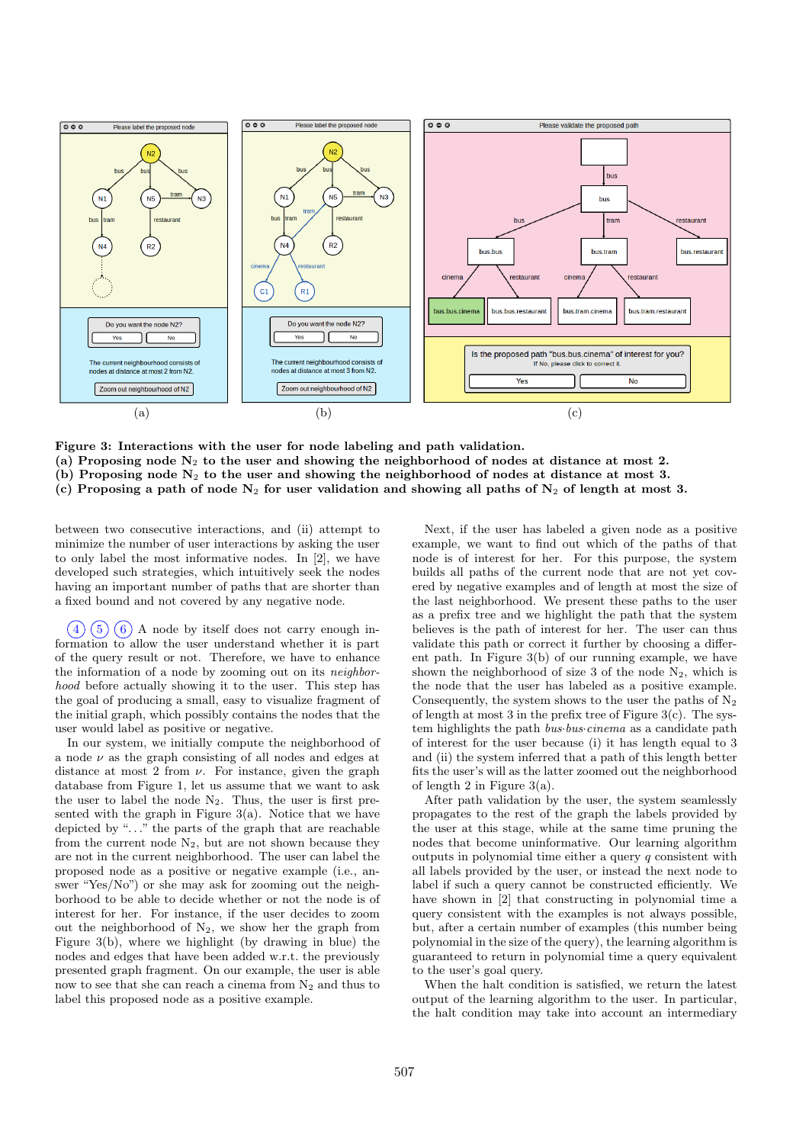

Figure 3: Interactions with the user for node labeling and path validation. (a) Proposing node  $N_2$  to the user and showing the neighborhood of nodes at distance at most 2. (b) Proposing node  $N_2$  to the user and showing the neighborhood of nodes at distance at most 3. (c) Proposing a path of node  $N_2$  for user validation and showing all paths of  $N_2$  of length at most 3.

between two consecutive interactions, and (ii) attempt to minimize the number of user interactions by asking the user to only label the most informative nodes. In [2], we have developed such strategies, which intuitively seek the nodes having an important number of paths that are shorter than a fixed bound and not covered by any negative node.

 $(4)(5)(6)$  A node by itself does not carry enough information to allow the user understand whether it is part of the query result or not. Therefore, we have to enhance the information of a node by zooming out on its neighborhood before actually showing it to the user. This step has the goal of producing a small, easy to visualize fragment of the initial graph, which possibly contains the nodes that the user would label as positive or negative.

In our system, we initially compute the neighborhood of a node  $\nu$  as the graph consisting of all nodes and edges at distance at most 2 from  $\nu$ . For instance, given the graph database from Figure 1, let us assume that we want to ask the user to label the node  $N_2$ . Thus, the user is first presented with the graph in Figure  $3(a)$ . Notice that we have depicted by ". . ." the parts of the graph that are reachable from the current node  $N_2$ , but are not shown because they are not in the current neighborhood. The user can label the proposed node as a positive or negative example (i.e., answer "Yes/No") or she may ask for zooming out the neighborhood to be able to decide whether or not the node is of interest for her. For instance, if the user decides to zoom out the neighborhood of  $N_2$ , we show her the graph from Figure 3(b), where we highlight (by drawing in blue) the nodes and edges that have been added w.r.t. the previously presented graph fragment. On our example, the user is able now to see that she can reach a cinema from  $N_2$  and thus to label this proposed node as a positive example.

Next, if the user has labeled a given node as a positive example, we want to find out which of the paths of that node is of interest for her. For this purpose, the system builds all paths of the current node that are not yet covered by negative examples and of length at most the size of the last neighborhood. We present these paths to the user as a prefix tree and we highlight the path that the system believes is the path of interest for her. The user can thus validate this path or correct it further by choosing a different path. In Figure 3(b) of our running example, we have shown the neighborhood of size 3 of the node  $N_2$ , which is the node that the user has labeled as a positive example. Consequently, the system shows to the user the paths of  $N_2$ of length at most 3 in the prefix tree of Figure  $3(c)$ . The system highlights the path *bus bus cinema* as a candidate path of interest for the user because (i) it has length equal to 3 and (ii) the system inferred that a path of this length better fits the user's will as the latter zoomed out the neighborhood of length 2 in Figure 3(a).

After path validation by the user, the system seamlessly propagates to the rest of the graph the labels provided by the user at this stage, while at the same time pruning the nodes that become uninformative. Our learning algorithm outputs in polynomial time either a query  $q$  consistent with all labels provided by the user, or instead the next node to label if such a query cannot be constructed efficiently. We have shown in [2] that constructing in polynomial time a query consistent with the examples is not always possible, but, after a certain number of examples (this number being polynomial in the size of the query), the learning algorithm is guaranteed to return in polynomial time a query equivalent to the user's goal query.

When the halt condition is satisfied, we return the latest output of the learning algorithm to the user. In particular, the halt condition may take into account an intermediary